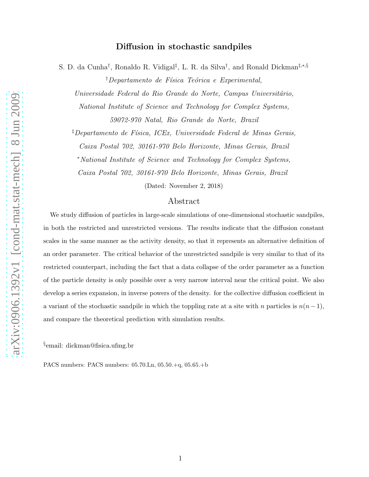# Diffusion in stochastic sandpiles

S. D. da Cunha<sup>†</sup>, Ronaldo R. Vidigal<sup>‡</sup>, L. R. da Silva<sup>†</sup>, and Ronald Dickman<sup>‡,\*,§</sup>

 $\dagger$ Departamento de Física Teórica e Experimental,

Universidade Federal do Rio Grande do Norte, Campus Universitário,

National Institute of Science and Technology for Complex Systems, 59072-970 Natal, Rio Grande do Norte, Brazil

 $\overline{P}^{\dagger}$ Departamento de Física, ICEx, Universidade Federal de Minas Gerais,

Caixa Postal 702, 30161-970 Belo Horizonte, Minas Gerais, Brazil

<sup>∗</sup>National Institute of Science and Technology for Complex Systems,

Caixa Postal 702, 30161-970 Belo Horizonte, Minas Gerais, Brazil

(Dated: November 2, 2018)

## Abstract

We study diffusion of particles in large-scale simulations of one-dimensional stochastic sandpiles, in both the restricted and unrestricted versions. The results indicate that the diffusion constant scales in the same manner as the activity density, so that it represents an alternative definition of an order parameter. The critical behavior of the unrestricted sandpile is very similar to that of its restricted counterpart, including the fact that a data collapse of the order parameter as a function of the particle density is only possible over a very narrow interval near the critical point. We also develop a series expansion, in inverse powers of the density. for the collective diffusion coefficient in a variant of the stochastic sandpile in which the toppling rate at a site with n particles is  $n(n-1)$ , and compare the theoretical prediction with simulation results.

§ email: dickman@fisica.ufmg.br

PACS numbers: PACS numbers: 05.70.Ln, 05.50.+q, 05.65.+b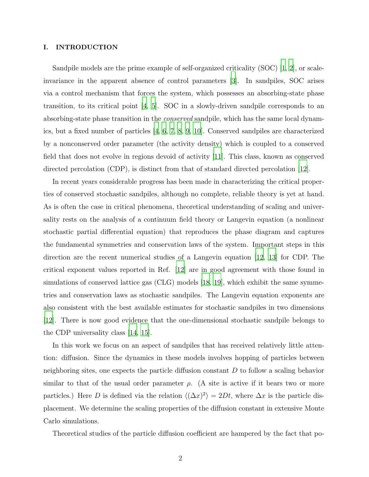#### I. INTRODUCTION

Sandpile models are the prime example of self-organized criticality (SOC) [\[1,](#page-19-0) [2](#page-19-1)], or scaleinvariance in the apparent absence of control parameters [\[3\]](#page-19-2). In sandpiles, SOC arises via a control mechanism that forces the system, which possesses an absorbing-state phase transition, to its critical point  $[4, 5]$  $[4, 5]$ . SOC in a slowly-driven sandpile corresponds to an absorbing-state phase transition in the *conserved* sandpile, which has the same local dynamics, but a fixed number of particles [\[4,](#page-19-3) [6,](#page-19-5) [7,](#page-19-6) [8,](#page-19-7) [9,](#page-19-8) [10](#page-19-9)]. Conserved sandpiles are characterized by a nonconserved order parameter (the activity density) which is coupled to a conserved field that does not evolve in regions devoid of activity [\[11](#page-19-10)]. This class, known as conserved directed percolation (CDP), is distinct from that of standard directed percolation [\[12](#page-19-11)].

In recent years considerable progress has been made in characterizing the critical properties of conserved stochastic sandpiles, although no complete, reliable theory is yet at hand. As is often the case in critical phenomena, theoretical understanding of scaling and universality rests on the analysis of a continuum field theory or Langevin equation (a nonlinear stochastic partial differential equation) that reproduces the phase diagram and captures the fundamental symmetries and conservation laws of the system. Important steps in this direction are the recent numerical studies of a Langevin equation [\[12](#page-19-11), [13\]](#page-19-12) for CDP. The critical exponent values reported in Ref. [\[12\]](#page-19-11) are in good agreement with those found in simulations of conserved lattice gas (CLG) models [\[18,](#page-19-13) [19\]](#page-19-14), which exhibit the same symmetries and conservation laws as stochastic sandpiles. The Langevin equation exponents are also consistent with the best available estimates for stochastic sandpiles in two dimensions [\[12\]](#page-19-11). There is now good evidence that the one-dimensional stochastic sandpile belongs to the CDP universality class [\[14,](#page-19-15) [15\]](#page-19-16).

In this work we focus on an aspect of sandpiles that has received relatively little attention: diffusion. Since the dynamics in these models involves hopping of particles between neighboring sites, one expects the particle diffusion constant  $D$  to follow a scaling behavior similar to that of the usual order parameter  $\rho$ . (A site is active if it bears two or more particles.) Here D is defined via the relation  $\langle (\Delta x)^2 \rangle = 2Dt$ , where  $\Delta x$  is the particle displacement. We determine the scaling properties of the diffusion constant in extensive Monte Carlo simulations.

Theoretical studies of the particle diffusion coefficient are hampered by the fact that po-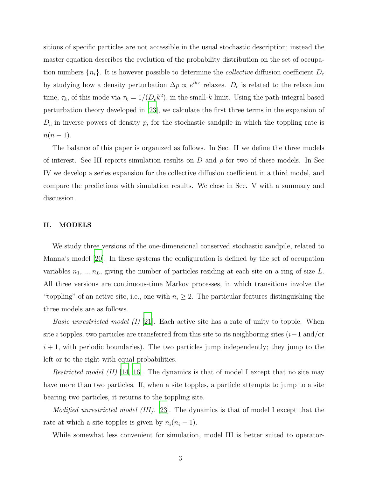sitions of specific particles are not accessible in the usual stochastic description; instead the master equation describes the evolution of the probability distribution on the set of occupation numbers  $\{n_i\}$ . It is however possible to determine the *collective* diffusion coefficient  $D_c$ by studying how a density perturbation  $\Delta p \propto e^{ikx}$  relaxes.  $D_c$  is related to the relaxation time,  $\tau_k$ , of this mode via  $\tau_k = 1/(D_c k^2)$ , in the small-k limit. Using the path-integral based perturbation theory developed in [\[23](#page-19-17)], we calculate the first three terms in the expansion of  $D<sub>c</sub>$  in inverse powers of density p, for the stochastic sandpile in which the toppling rate is  $n(n-1)$ .

The balance of this paper is organized as follows. In Sec. II we define the three models of interest. Sec III reports simulation results on D and  $\rho$  for two of these models. In Sec IV we develop a series expansion for the collective diffusion coefficient in a third model, and compare the predictions with simulation results. We close in Sec. V with a summary and discussion.

## II. MODELS

We study three versions of the one-dimensional conserved stochastic sandpile, related to Manna's model [\[20](#page-19-18)]. In these systems the configuration is defined by the set of occupation variables  $n_1, ..., n_L$ , giving the number of particles residing at each site on a ring of size L. All three versions are continuous-time Markov processes, in which transitions involve the "toppling" of an active site, i.e., one with  $n_i \geq 2$ . The particular features distinguishing the three models are as follows.

*Basic unrestricted model (I)* [\[21](#page-19-19)]. Each active site has a rate of unity to topple. When site i topples, two particles are transferred from this site to its neighboring sites  $(i-1 \text{ and/or})$  $i + 1$ , with periodic boundaries). The two particles jump independently; they jump to the left or to the right with equal probabilities.

*Restricted model (II)* [\[14](#page-19-15), [16\]](#page-19-20). The dynamics is that of model I except that no site may have more than two particles. If, when a site topples, a particle attempts to jump to a site bearing two particles, it returns to the toppling site.

Modified unrestricted model (III). [\[23](#page-19-17)]. The dynamics is that of model I except that the rate at which a site topples is given by  $n_i(n_i - 1)$ .

While somewhat less convenient for simulation, model III is better suited to operator-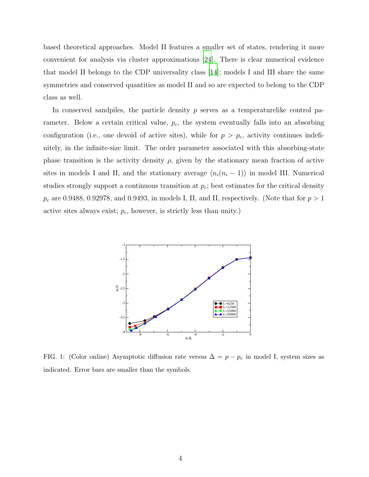based theoretical approaches. Model II features a smaller set of states, rendering it more convenient for analysis via cluster approximations [\[24\]](#page-20-0). There is clear numerical evidence that model II belongs to the CDP universality class [\[14](#page-19-15)]; models I and III share the same symmetries and conserved quantities as model II and so are expected to belong to the CDP class as well.

In conserved sandpiles, the particle density  $p$  serves as a temperaturelike control parameter. Below a certain critical value,  $p_c$ , the system eventually falls into an absorbing configuration (i.e., one devoid of active sites), while for  $p > p_c$ , activity continues indefinitely, in the infinite-size limit. The order parameter associated with this absorbing-state phase transition is the activity density  $\rho$ , given by the stationary mean fraction of active sites in models I and II, and the stationary average  $\langle n_i(n_i - 1) \rangle$  in model III. Numerical studies strongly support a continuous transition at  $p_c$ ; best estimates for the critical density  $p_c$  are 0.9488, 0.92978, and 0.9493, in models I, II, and II, respectively. (Note that for  $p > 1$ active sites always exist;  $p_c$ , however, is strictly less than unity.)



<span id="page-3-0"></span>FIG. 1: (Color online) Asymptotic diffusion rate versus  $\Delta = p - p_c$  in model I, system sizes as indicated. Error bars are smaller than the symbols.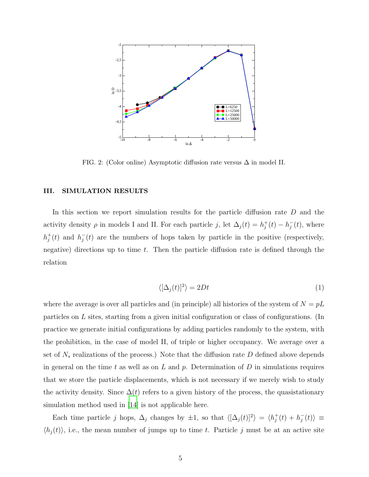

<span id="page-4-1"></span>FIG. 2: (Color online) Asymptotic diffusion rate versus  $\Delta$  in model II.

#### III. SIMULATION RESULTS

In this section we report simulation results for the particle diffusion rate D and the activity density  $\rho$  in models I and II. For each particle j, let  $\Delta_j(t) = h_j^+(t) - h_j^-(t)$ , where  $h_j^+(t)$  and  $h_j^-(t)$  are the numbers of hops taken by particle in the positive (respectively, negative) directions up to time  $t$ . Then the particle diffusion rate is defined through the relation

<span id="page-4-0"></span>
$$
\langle [\Delta_j(t)]^2 \rangle = 2Dt \tag{1}
$$

where the average is over all particles and (in principle) all histories of the system of  $N = pL$ particles on L sites, starting from a given initial configuration or class of configurations. (In practice we generate initial configurations by adding particles randomly to the system, with the prohibition, in the case of model II, of triple or higher occupancy. We average over a set of  $N_s$  realizations of the process.) Note that the diffusion rate  $D$  defined above depends in general on the time t as well as on  $L$  and  $p$ . Determination of  $D$  in simulations requires that we store the particle displacements, which is not necessary if we merely wish to study the activity density. Since  $\Delta(t)$  refers to a given history of the process, the quasistationary simulation method used in [\[14\]](#page-19-15) is not applicable here.

Each time particle j hops,  $\Delta_j$  changes by  $\pm 1$ , so that  $\langle [\Delta_j(t)]^2 \rangle = \langle h_j^+(t) + h_j^-(t) \rangle \equiv$  $\langle h_j(t) \rangle$ , i.e., the mean number of jumps up to time t. Particle j must be at an active site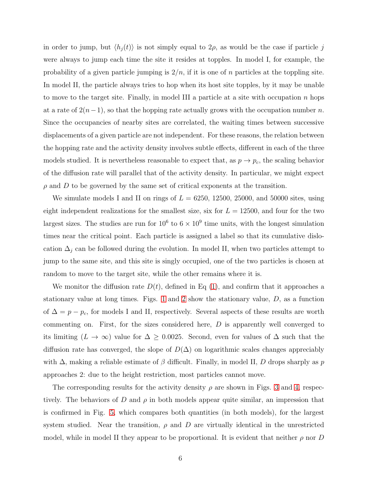in order to jump, but  $\langle h_j(t) \rangle$  is not simply equal to  $2\rho$ , as would be the case if particle j were always to jump each time the site it resides at topples. In model I, for example, the probability of a given particle jumping is  $2/n$ , if it is one of n particles at the toppling site. In model II, the particle always tries to hop when its host site topples, by it may be unable to move to the target site. Finally, in model III a particle at a site with occupation  $n$  hops at a rate of  $2(n-1)$ , so that the hopping rate actually grows with the occupation number n. Since the occupancies of nearby sites are correlated, the waiting times between successive displacements of a given particle are not independent. For these reasons, the relation between the hopping rate and the activity density involves subtle effects, different in each of the three models studied. It is nevertheless reasonable to expect that, as  $p \to p_c$ , the scaling behavior of the diffusion rate will parallel that of the activity density. In particular, we might expect  $\rho$  and  $D$  to be governed by the same set of critical exponents at the transition.

We simulate models I and II on rings of  $L = 6250, 12500, 25000,$  and 50000 sites, using eight independent realizations for the smallest size, six for  $L = 12500$ , and four for the two largest sizes. The studies are run for  $10^6$  to  $6 \times 10^9$  time units, with the longest simulation times near the critical point. Each particle is assigned a label so that its cumulative dislocation  $\Delta_j$  can be followed during the evolution. In model II, when two particles attempt to jump to the same site, and this site is singly occupied, one of the two particles is chosen at random to move to the target site, while the other remains where it is.

We monitor the diffusion rate  $D(t)$ , defined in Eq [\(1\)](#page-4-0), and confirm that it approaches a stationary value at long times. Figs. [1](#page-3-0) and [2](#page-4-1) show the stationary value,  $D$ , as a function of  $\Delta = p - p_c$ , for models I and II, respectively. Several aspects of these results are worth commenting on. First, for the sizes considered here, D is apparently well converged to its limiting  $(L \to \infty)$  value for  $\Delta \geq 0.0025$ . Second, even for values of  $\Delta$  such that the diffusion rate has converged, the slope of  $D(\Delta)$  on logarithmic scales changes appreciably with  $\Delta$ , making a reliable estimate of  $\beta$  difficult. Finally, in model II, D drops sharply as p approaches 2: due to the height restriction, most particles cannot move.

The corresponding results for the activity density  $\rho$  are shown in Figs. [3](#page-6-0) and [4,](#page-7-0) respectively. The behaviors of D and  $\rho$  in both models appear quite similar, an impression that is confirmed in Fig. [5,](#page-8-0) which compares both quantities (in both models), for the largest system studied. Near the transition,  $\rho$  and  $D$  are virtually identical in the unrestricted model, while in model II they appear to be proportional. It is evident that neither  $\rho$  nor D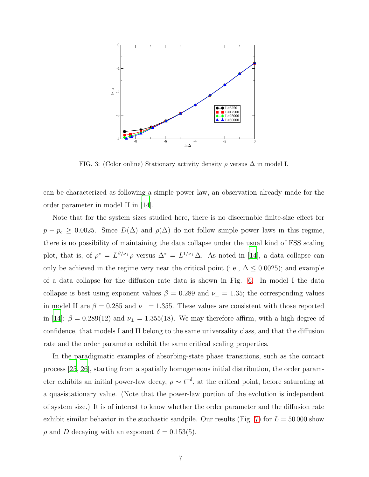

<span id="page-6-0"></span>FIG. 3: (Color online) Stationary activity density  $\rho$  versus  $\Delta$  in model I.

can be characterized as following a simple power law, an observation already made for the order parameter in model II in [\[14](#page-19-15)].

Note that for the system sizes studied here, there is no discernable finite-size effect for  $p - p_c \geq 0.0025$ . Since  $D(\Delta)$  and  $\rho(\Delta)$  do not follow simple power laws in this regime, there is no possibility of maintaining the data collapse under the usual kind of FSS scaling plot, that is, of  $\rho^* = L^{\beta/\nu_{\perp}} \rho$  versus  $\Delta^* = L^{1/\nu_{\perp}} \Delta$ . As noted in [\[14](#page-19-15)], a data collapse can only be achieved in the regime very near the critical point (i.e.,  $\Delta \leq 0.0025$ ); and example of a data collapse for the diffusion rate data is shown in Fig. [6.](#page-9-0) In model I the data collapse is best using exponent values  $\beta = 0.289$  and  $\nu_{\perp} = 1.35$ ; the corresponding values in model II are  $\beta = 0.285$  and  $\nu_{\perp} = 1.355$ . These values are consistent with those reported in [\[14\]](#page-19-15):  $\beta = 0.289(12)$  and  $\nu_{\perp} = 1.355(18)$ . We may therefore affirm, with a high degree of confidence, that models I and II belong to the same universality class, and that the diffusion rate and the order parameter exhibit the same critical scaling properties.

In the paradigmatic examples of absorbing-state phase transitions, such as the contact process [\[25](#page-20-1), [26\]](#page-20-2), starting from a spatially homogeneous initial distribution, the order parameter exhibits an initial power-law decay,  $\rho \sim t^{-\delta}$ , at the critical point, before saturating at a quasistationary value. (Note that the power-law portion of the evolution is independent of system size.) It is of interest to know whether the order parameter and the diffusion rate exhibit similar behavior in the stochastic sandpile. Our results (Fig. [7\)](#page-9-1) for  $L = 50000$  show  $\rho$  and D decaying with an exponent  $\delta = 0.153(5)$ .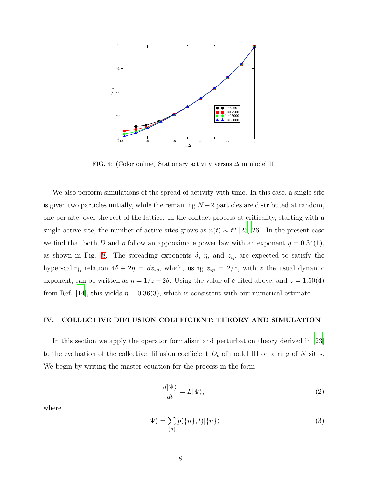

<span id="page-7-0"></span>FIG. 4: (Color online) Stationary activity versus  $\Delta$  in model II.

We also perform simulations of the spread of activity with time. In this case, a single site is given two particles initially, while the remaining  $N-2$  particles are distributed at random, one per site, over the rest of the lattice. In the contact process at criticality, starting with a single active site, the number of active sites grows as  $n(t) \sim t^{\eta}$  [\[25](#page-20-1), [26](#page-20-2)]. In the present case we find that both D and  $\rho$  follow an approximate power law with an exponent  $\eta = 0.34(1)$ , as shown in Fig. [8.](#page-10-0) The spreading exponents  $\delta$ ,  $\eta$ , and  $z_{sp}$  are expected to satisfy the hyperscaling relation  $4\delta + 2\eta = dz_{sp}$ , which, using  $z_{sp} = 2/z$ , with z the usual dynamic exponent, can be written as  $\eta = 1/z - 2\delta$ . Using the value of  $\delta$  cited above, and  $z = 1.50(4)$ from Ref. [\[14\]](#page-19-15), this yields  $\eta = 0.36(3)$ , which is consistent with our numerical estimate.

#### IV. COLLECTIVE DIFFUSION COEFFICIENT: THEORY AND SIMULATION

In this section we apply the operator formalism and perturbation theory derived in [\[23\]](#page-19-17) to the evaluation of the collective diffusion coefficient  $D_c$  of model III on a ring of N sites. We begin by writing the master equation for the process in the form

$$
\frac{d|\Psi\rangle}{dt} = L|\Psi\rangle,\tag{2}
$$

where

$$
|\Psi\rangle = \sum_{\{n\}} p(\{n\}, t) |\{n\}\rangle \tag{3}
$$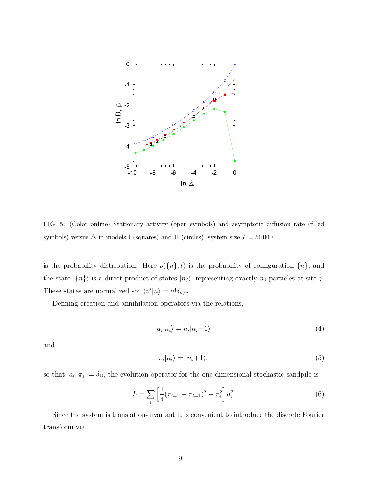

<span id="page-8-0"></span>FIG. 5: (Color online) Stationary activity (open symbols) and asymptotic diffusion rate (filled symbols) versus  $\Delta$  in models I (squares) and II (circles), system size  $L = 50000$ .

is the probability distribution. Here  $p({n}, t)$  is the probability of configuration  ${n}$ , and the state  $|\{n\}\rangle$  is a direct product of states  $|n_j\rangle$ , representing exactly  $n_j$  particles at site j. These states are normalized so:  $\langle n'|n \rangle = n! \delta_{n,n'}$ .

Defining creation and annihilation operators via the relations,

$$
a_i|n_i\rangle = n_i|n_i - 1\rangle \tag{4}
$$

and

$$
\pi_i|n_i\rangle = |n_i+1\rangle,\tag{5}
$$

so that  $[a_i, \pi_j] = \delta_{ij}$ , the evolution operator for the one-dimensional stochastic sandpile is

$$
L = \sum_{i} \left[ \frac{1}{4} (\pi_{i-1} + \pi_{i+1})^2 - \pi_i^2 \right] a_i^2.
$$
 (6)

Since the system is translation-invariant it is convenient to introduce the discrete Fourier transform via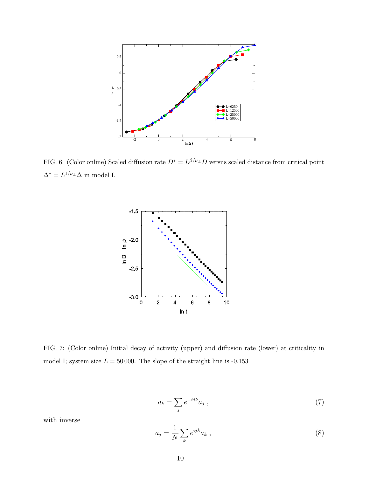

<span id="page-9-0"></span>FIG. 6: (Color online) Scaled diffusion rate  $D^* = L^{\beta/\nu_{\perp}}D$  versus scaled distance from critical point  $\Delta^* = L^{1/\nu_{\perp}} \Delta$  in model I.



<span id="page-9-1"></span>FIG. 7: (Color online) Initial decay of activity (upper) and diffusion rate (lower) at criticality in model I; system size  $L = 50000$ . The slope of the straight line is -0.153

$$
a_k = \sum_j e^{-ijk} a_j \tag{7}
$$

with inverse

$$
a_j = \frac{1}{N} \sum_k e^{ijk} a_k \tag{8}
$$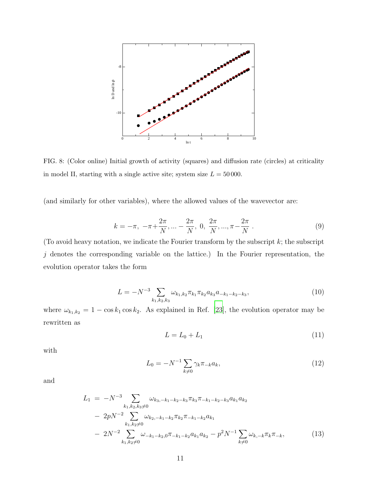

<span id="page-10-0"></span>FIG. 8: (Color online) Initial growth of activity (squares) and diffusion rate (circles) at criticality in model II, starting with a single active site; system size  $L = 50000$ .

(and similarly for other variables), where the allowed values of the wavevector are:

<span id="page-10-2"></span>
$$
k = -\pi, \ -\pi + \frac{2\pi}{N}, \dots - \frac{2\pi}{N}, \ 0, \ \frac{2\pi}{N}, \dots, \pi - \frac{2\pi}{N} \ . \tag{9}
$$

(To avoid heavy notation, we indicate the Fourier transform by the subscript  $k$ ; the subscript  $j$  denotes the corresponding variable on the lattice.) In the Fourier representation, the evolution operator takes the form

$$
L = -N^{-3} \sum_{k_1, k_2, k_3} \omega_{k_1, k_2} \pi_{k_1} \pi_{k_2} a_{k_3} a_{-k_1 - k_2 - k_3},\tag{10}
$$

where  $\omega_{k_1,k_2} = 1 - \cos k_1 \cos k_2$ . As explained in Ref. [\[23](#page-19-17)], the evolution operator may be rewritten as

$$
L = L_0 + L_1 \tag{11}
$$

with

$$
L_0 = -N^{-1} \sum_{k \neq 0} \gamma_k \pi_{-k} a_k,\tag{12}
$$

and

<span id="page-10-1"></span>
$$
L_{1} = -N^{-3} \sum_{k_{1},k_{2},k_{3}\neq 0} \omega_{k_{3},-k_{1}-k_{2}-k_{3}} \pi_{k_{3}} \pi_{-k_{1}-k_{2}-k_{3}} a_{k_{1}} a_{k_{2}}
$$
  
-  $2pN^{-2} \sum_{k_{1},k_{2}\neq 0} \omega_{k_{2},-k_{1}-k_{2}} \pi_{k_{2}} \pi_{-k_{1}-k_{2}} a_{k_{1}}$   
-  $2N^{-2} \sum_{k_{1},k_{2}\neq 0} \omega_{-k_{1}-k_{2},0} \pi_{-k_{1}-k_{2}} a_{k_{1}} a_{k_{2}} - p^{2}N^{-1} \sum_{k\neq 0} \omega_{k,-k} \pi_{k} \pi_{-k},$  (13)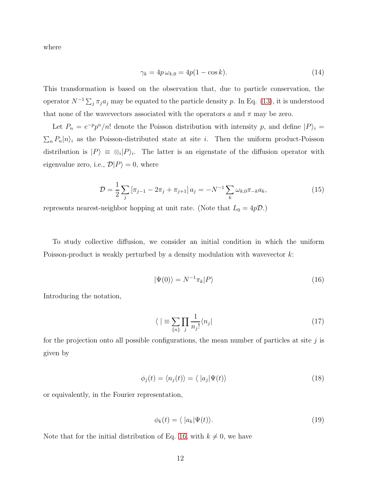where

$$
\gamma_k = 4p\,\omega_{k,0} = 4p(1 - \cos k). \tag{14}
$$

This transformation is based on the observation that, due to particle conservation, the operator  $N^{-1}\sum_j \pi_j a_j$  may be equated to the particle density p. In Eq. [\(13\)](#page-10-1), it is understood that none of the wavevectors associated with the operators a and  $\pi$  may be zero.

Let  $P_n = e^{-p}p^n/n!$  denote the Poisson distribution with intensity p, and define  $|P\rangle_i =$  $\sum_{n} P_n |n\rangle_i$  as the Poisson-distributed state at site *i*. Then the uniform product-Poisson distribution is  $|P\rangle \equiv \otimes_i |P\rangle_i$ . The latter is an eigenstate of the diffusion operator with eigenvalue zero, i.e.,  $\mathcal{D}|P\rangle = 0$ , where

$$
\mathcal{D} = \frac{1}{2} \sum_{j} \left[ \pi_{j-1} - 2\pi_j + \pi_{j+1} \right] a_j = -N^{-1} \sum_{k} \omega_{k,0} \pi_{-k} a_k, \tag{15}
$$

represents nearest-neighbor hopping at unit rate. (Note that  $L_0 = 4p\mathcal{D}$ .)

To study collective diffusion, we consider an initial condition in which the uniform Poisson-product is weakly perturbed by a density modulation with wavevector k:

<span id="page-11-0"></span>
$$
|\Psi(0)\rangle = N^{-1}\pi_k|P\rangle\tag{16}
$$

Introducing the notation,

$$
\langle \, \, | \equiv \sum_{\{n\}} \prod_{j} \frac{1}{n_j!} \langle n_j | \tag{17}
$$

for the projection onto all possible configurations, the mean number of particles at site  $j$  is given by

$$
\phi_j(t) = \langle n_j(t) \rangle = \langle |a_j| \Psi(t) \rangle \tag{18}
$$

or equivalently, in the Fourier representation,

$$
\phi_k(t) = \langle |a_k| \Psi(t) \rangle. \tag{19}
$$

Note that for the initial distribution of Eq. [16,](#page-11-0) with  $k \neq 0$ , we have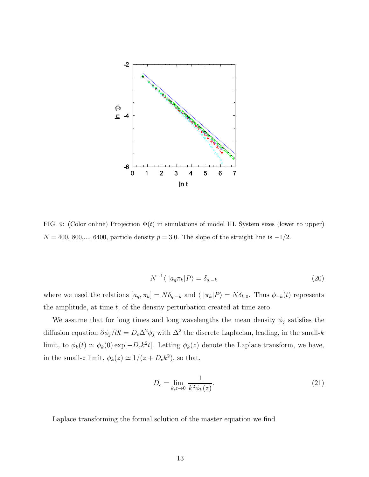

<span id="page-12-0"></span>FIG. 9: (Color online) Projection  $\Phi(t)$  in simulations of model III. System sizes (lower to upper)  $N = 400, 800,..., 6400,$  particle density  $p = 3.0$ . The slope of the straight line is  $-1/2$ .

$$
N^{-1}\langle |a_q \pi_k|P\rangle = \delta_{q,-k} \tag{20}
$$

where we used the relations  $[a_q, \pi_k] = N \delta_{q,-k}$  and  $\langle |\pi_k|P \rangle = N \delta_{k,0}$ . Thus  $\phi_{-k}(t)$  represents the amplitude, at time  $t$ , of the density perturbation created at time zero.

We assume that for long times and long wavelengths the mean density  $\phi_j$  satisfies the diffusion equation  $\partial \phi_j / \partial t = D_c \Delta^2 \phi_j$  with  $\Delta^2$  the discrete Laplacian, leading, in the small-k limit, to  $\phi_k(t) \simeq \phi_k(0) \exp[-D_c k^2 t]$ . Letting  $\phi_k(z)$  denote the Laplace transform, we have, in the small-z limit,  $\phi_k(z) \simeq 1/(z + D_c k^2)$ , so that,

$$
D_c = \lim_{k,z \to 0} \frac{1}{k^2 \phi_k(z)}.\tag{21}
$$

Laplace transforming the formal solution of the master equation we find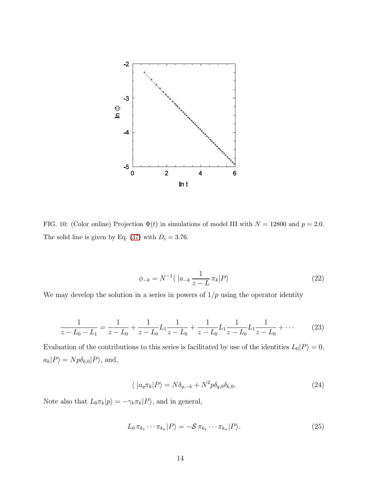

<span id="page-13-1"></span>FIG. 10: (Color online) Projection  $\Phi(t)$  in simulations of model III with  $N = 12800$  and  $p = 2.0$ . The solid line is given by Eq.  $(37)$  with  $D_c = 3.76$ .

<span id="page-13-0"></span>
$$
\phi_{-k} = N^{-1} \langle |a_{-k} \frac{1}{z - L} \pi_k | P \rangle \tag{22}
$$

We may develop the solution in a series in powers of  $1/p$  using the operator identity

$$
\frac{1}{z - L_0 - L_1} = \frac{1}{z - L_0} + \frac{1}{z - L_0} L_1 \frac{1}{z - L_0} + \frac{1}{z - L_0} L_1 \frac{1}{z - L_0} L_1 \frac{1}{z - L_0} + \cdots
$$
 (23)

Evaluation of the contributions to this series is facilitated by use of the identities  $L_0|P\rangle = 0$ ,  $a_k|P\rangle = Np\delta_{k,0}|P\rangle$ , and,

$$
\langle |a_q \pi_k|P\rangle = N \delta_{q,-k} + N^2 p \delta_{q,0} \delta_{k,0}.
$$
\n(24)

Note also that  $L_0 \pi_k |p\rangle = -\gamma_k \pi_k |P\rangle$ , and in general,

$$
L_0 \pi_{k_1} \cdots \pi_{k_n} |P\rangle = -\mathcal{S} \pi_{k_1} \cdots \pi_{k_n} |P\rangle.
$$
 (25)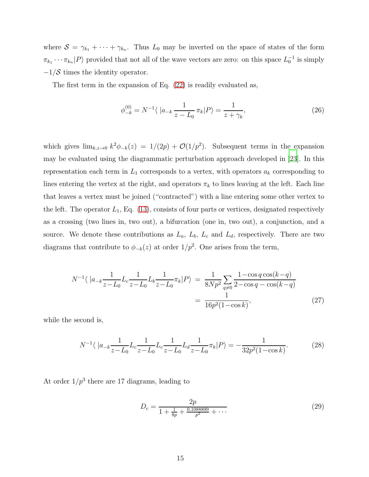where  $S = \gamma_{k_1} + \cdots + \gamma_{k_n}$ . Thus  $L_0$  may be inverted on the space of states of the form  $\pi_{k_1} \cdots \pi_{k_n} |P\rangle$  provided that not all of the wave vectors are zero: on this space  $L_0^{-1}$  is simply  $-1/\mathcal{S}$  times the identity operator.

The first term in the expansion of Eq. [\(22\)](#page-13-0) is readily evaluated as,

$$
\phi_{-k}^{(0)} = N^{-1} \langle |a_{-k} \frac{1}{z - L_0} \pi_k | P \rangle = \frac{1}{z + \gamma_k},\tag{26}
$$

which gives  $\lim_{k,z\to 0} k^2\phi_{-k}(z) = 1/(2p) + \mathcal{O}(1/p^2)$ . Subsequent terms in the expansion may be evaluated using the diagrammatic perturbation approach developed in [\[23\]](#page-19-17). In this representation each term in  $L_1$  corresponds to a vertex, with operators  $a_k$  corresponding to lines entering the vertex at the right, and operators  $\pi_k$  to lines leaving at the left. Each line that leaves a vertex must be joined ("contracted") with a line entering some other vertex to the left. The operator  $L_1$ , Eq. [\(13\)](#page-10-1), consists of four parts or vertices, designated respectively as a crossing (two lines in, two out), a bifurcation (one in, two out), a conjunction, and a source. We denote these contributions as  $L_a$ ,  $L_b$ ,  $L_c$  and  $L_d$ , respectively. There are two diagrams that contribute to  $\phi_{-k}(z)$  at order  $1/p^2$ . One arises from the term,

$$
N^{-1} \langle |a_{-k} \frac{1}{z - L_0} L_c \frac{1}{z - L_0} L_b \frac{1}{z - L_0} \pi_k | P \rangle = \frac{1}{8Np^2} \sum_{q \neq 0} \frac{1 - \cos q \cos(k - q)}{2 - \cos q - \cos(k - q)}
$$

$$
= \frac{1}{16p^2 (1 - \cos k)},
$$
(27)

while the second is,

$$
N^{-1}\langle |a_{-k}\frac{1}{z-L_0}L_c\frac{1}{z-L_0}L_c\frac{1}{z-L_0}L_d\frac{1}{z-L_0}\pi_k|P\rangle = -\frac{1}{32p^2(1-\cos k)}.\tag{28}
$$

At order  $1/p^3$  there are 17 diagrams, leading to

<span id="page-14-0"></span>
$$
D_c = \frac{2p}{1 + \frac{1}{8p} + \frac{0.1088899}{p^2} + \cdots} \tag{29}
$$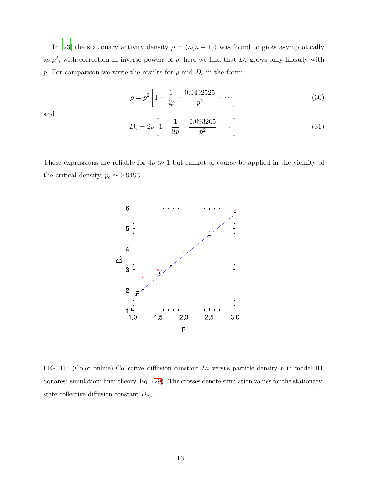In [\[23\]](#page-19-17) the stationary activity density  $\rho = \langle n(n - 1) \rangle$  was found to grow asymptotically as  $p^2$ , with correction in inverse powers of p; here we find that  $D_c$  grows only linearly with *p*. For comparison we write the results for  $\rho$  and  $D_c$  in the form:

$$
\rho = p^2 \left[ 1 - \frac{1}{4p} - \frac{0.0492525}{p^2} + \cdots \right] \tag{30}
$$

and

$$
D_c = 2p \left[ 1 - \frac{1}{8p} - \frac{0.093265}{p^2} + \cdots \right]
$$
 (31)

These expressions are reliable for  $4p \gg 1$  but cannot of course be applied in the vicinity of the critical density,  $p_c \simeq 0.9493$ .



<span id="page-15-0"></span>FIG. 11: (Color online) Collective diffusion constant  $D<sub>c</sub>$  versus particle density p in model III. Squares: simulation; line: theory, Eq. [\(29\)](#page-14-0). The crosses denote simulation values for the stationarystate collective diffusion constant  $D_{c,s}$ .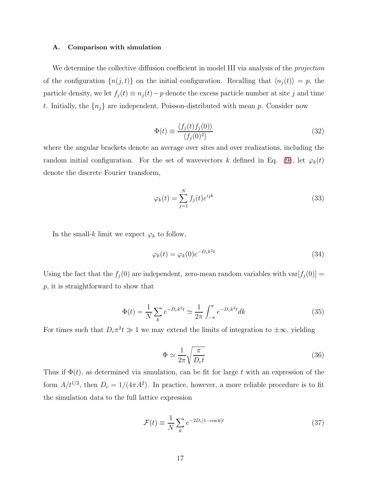#### A. Comparison with simulation

We determine the collective diffusion coefficient in model III via analysis of the *projection* of the configuration  $\{n(j, t)\}\$  on the initial configuration. Recalling that  $\langle n_j(t)\rangle = p$ , the particle density, we let  $f_j(t) \equiv n_j(t) - p$  denote the excess particle number at site j and time t. Initially, the  $\{n_j\}$  are independent, Poisson-distributed with mean p. Consider now

$$
\Phi(t) \equiv \frac{\langle f_j(t) f_j(0) \rangle}{\langle f_j(0)^2 \rangle} \tag{32}
$$

where the angular brackets denote an average over sites and over realizations, including the random initial configuration. For the set of wavevectors k defined in Eq. [\(9\)](#page-10-2), let  $\varphi_k(t)$ denote the discrete Fourier transform,

$$
\varphi_k(t) = \sum_{j=1}^N f_j(t)e^{ijk} \tag{33}
$$

In the small-k limit we expect  $\varphi_k$  to follow,

$$
\varphi_k(t) = \varphi_k(0)e^{-D_c k^2 t} \tag{34}
$$

Using the fact that the  $f_j(0)$  are independent, zero-mean random variables with var $[f_j(0)] =$ p, it is straightforward to show that

$$
\Phi(t) = \frac{1}{N} \sum_{k} e^{-D_{c}k^{2}t} \simeq \frac{1}{2\pi} \int_{-\pi}^{\pi} e^{-D_{c}k^{2}t} dk
$$
\n(35)

For times such that  $D_c \pi^2 t \gg 1$  we may extend the limits of integration to  $\pm \infty$ , yielding

$$
\Phi \simeq \frac{1}{2\pi} \sqrt{\frac{\pi}{D_c t}}\tag{36}
$$

Thus if  $\Phi(t)$ , as determined via simulation, can be fit for large t with an expression of the form  $A/t^{1/2}$ , then  $D_c = 1/(4\pi A^2)$ . In practice, however, a more reliable procedure is to fit the simulation data to the full lattice expression

<span id="page-16-0"></span>
$$
\mathcal{F}(t) \equiv \frac{1}{N} \sum_{k} e^{-2D_c[1-\cos k]t} \tag{37}
$$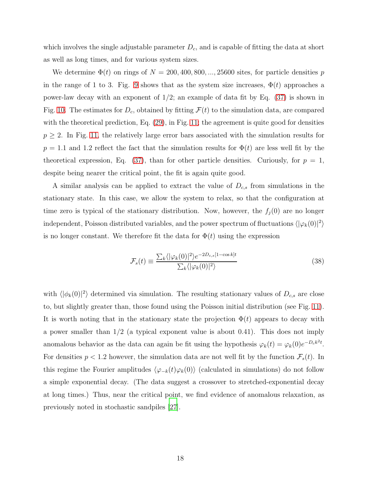which involves the single adjustable parameter  $D<sub>c</sub>$ , and is capable of fitting the data at short as well as long times, and for various system sizes.

We determine  $\Phi(t)$  on rings of  $N = 200, 400, 800, ..., 25600$  sites, for particle densities p in the range of 1 to 3. Fig. [9](#page-12-0) shows that as the system size increases,  $\Phi(t)$  approaches a power-law decay with an exponent of  $1/2$ ; an example of data fit by Eq.  $(37)$  is shown in Fig. [10.](#page-13-1) The estimates for  $D_c$ , obtained by fitting  $\mathcal{F}(t)$  to the simulation data, are compared with the theoretical prediction, Eq. [\(29\)](#page-14-0), in Fig. [11;](#page-15-0) the agreement is quite good for densities  $p \geq 2$ . In Fig. [11,](#page-15-0) the relatively large error bars associated with the simulation results for  $p = 1.1$  and 1.2 reflect the fact that the simulation results for  $\Phi(t)$  are less well fit by the theoretical expression, Eq. [\(37\)](#page-16-0), than for other particle densities. Curiously, for  $p = 1$ , despite being nearer the critical point, the fit is again quite good.

A similar analysis can be applied to extract the value of  $D_{c,s}$  from simulations in the stationary state. In this case, we allow the system to relax, so that the configuration at time zero is typical of the stationary distribution. Now, however, the  $f_j(0)$  are no longer independent, Poisson distributed variables, and the power spectrum of fluctuations  $\langle |\varphi_k(0)|^2 \rangle$ is no longer constant. We therefore fit the data for  $\Phi(t)$  using the expression

$$
\mathcal{F}_s(t) \equiv \frac{\sum_k \langle |\varphi_k(0)|^2 \rangle e^{-2D_{c,s}[1-\cos k]t}}{\sum_k \langle |\varphi_k(0)|^2 \rangle} \tag{38}
$$

with  $\langle |\phi_k(0)|^2 \rangle$  determined via simulation. The resulting stationary values of  $D_{c,s}$  are close to, but slightly greater than, those found using the Poisson initial distribution (see Fig. [11\)](#page-15-0). It is worth noting that in the stationary state the projection  $\Phi(t)$  appears to decay with a power smaller than  $1/2$  (a typical exponent value is about 0.41). This does not imply anomalous behavior as the data can again be fit using the hypothesis  $\varphi_k(t) = \varphi_k(0)e^{-D_c k^2 t}$ . For densities  $p < 1.2$  however, the simulation data are not well fit by the function  $\mathcal{F}_s(t)$ . In this regime the Fourier amplitudes  $\langle \varphi_{-k}(t)\varphi_k(0)\rangle$  (calculated in simulations) do not follow a simple exponential decay. (The data suggest a crossover to stretched-exponential decay at long times.) Thus, near the critical point, we find evidence of anomalous relaxation, as previously noted in stochastic sandpiles [\[27\]](#page-20-3).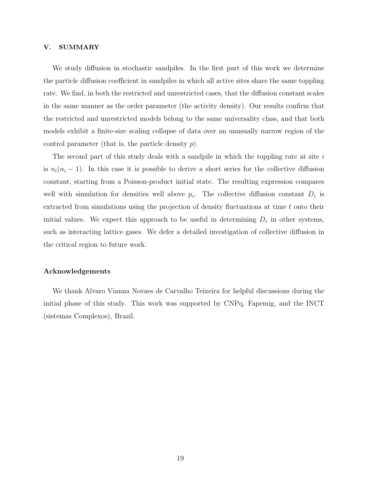#### V. SUMMARY

We study diffusion in stochastic sandpiles. In the first part of this work we determine the particle diffusion coefficient in sandpiles in which all active sites share the same toppling rate. We find, in both the restricted and unrestricted cases, that the diffusion constant scales in the same manner as the order parameter (the activity density). Our results confirm that the restricted and unrestricted models belong to the same universality class, and that both models exhibit a finite-size scaling collapse of data over an unusually narrow region of the control parameter (that is, the particle density  $p$ ).

The second part of this study deals with a sandpile in which the toppling rate at site  $i$ is  $n_i(n_i - 1)$ . In this case it is possible to derive a short series for the collective diffusion constant, starting from a Poisson-product initial state. The resulting expression compares well with simulation for densities well above  $p_c$ . The collective diffusion constant  $D_c$  is extracted from simulations using the projection of density fluctuations at time t onto their initial values. We expect this approach to be useful in determining  $D<sub>c</sub>$  in other systems, such as interacting lattice gases. We defer a detailed investigation of collective diffusion in the critical region to future work.

## Acknowledgements

We thank Alvaro Vianna Novaes de Carvalho Teixeira for helpful discussions during the initial phase of this study. This work was supported by CNPq, Fapemig, and the INCT (sistemas Complexos), Brazil.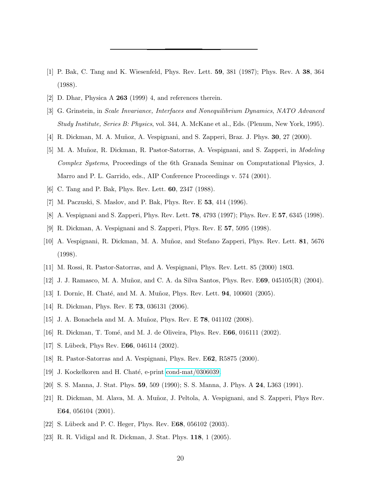- <span id="page-19-0"></span>[1] P. Bak, C. Tang and K. Wiesenfeld, Phys. Rev. Lett. 59, 381 (1987); Phys. Rev. A 38, 364 (1988).
- <span id="page-19-2"></span><span id="page-19-1"></span>[2] D. Dhar, Physica A 263 (1999) 4, and references therein.
- [3] G. Grinstein, in Scale Invariance, Interfaces and Nonequilibrium Dynamics, NATO Advanced Study Institute, Series B: Physics, vol. 344, A. McKane et al., Eds. (Plenum, New York, 1995).
- <span id="page-19-3"></span>[4] R. Dickman, M. A. Muñoz, A. Vespignani, and S. Zapperi, Braz. J. Phys. **30**, 27 (2000).
- <span id="page-19-4"></span>[5] M. A. Muñoz, R. Dickman, R. Pastor-Satorras, A. Vespignani, and S. Zapperi, in *Modeling* Complex Systems, Proceedings of the 6th Granada Seminar on Computational Physics, J. Marro and P. L. Garrido, eds., AIP Conference Proceedings v. 574 (2001).
- <span id="page-19-6"></span><span id="page-19-5"></span>[6] C. Tang and P. Bak, Phys. Rev. Lett. 60, 2347 (1988).
- <span id="page-19-7"></span>[7] M. Paczuski, S. Maslov, and P. Bak, Phys. Rev. E 53, 414 (1996).
- <span id="page-19-8"></span>[8] A. Vespignani and S. Zapperi, Phys. Rev. Lett. 78, 4793 (1997); Phys. Rev. E 57, 6345 (1998).
- [9] R. Dickman, A. Vespignani and S. Zapperi, Phys. Rev. E 57, 5095 (1998).
- <span id="page-19-9"></span>[10] A. Vespignani, R. Dickman, M. A. Muñoz, and Stefano Zapperi, Phys. Rev. Lett. 81, 5676 (1998).
- <span id="page-19-10"></span>[11] M. Rossi, R. Pastor-Satorras, and A. Vespignani, Phys. Rev. Lett. 85 (2000) 1803.
- <span id="page-19-11"></span>[12] J. J. Ramasco, M. A. Muñoz, and C. A. da Silva Santos, Phys. Rev. E69, 045105(R) (2004).
- <span id="page-19-12"></span>[13] I. Dornic, H. Chaté, and M. A. Muñoz, Phys. Rev. Lett. **94**, 100601 (2005).
- <span id="page-19-16"></span><span id="page-19-15"></span>[14] R. Dickman, Phys. Rev. E **73**, 036131 (2006).
- [15] J. A. Bonachela and M. A. Muñoz, Phys. Rev. E **78**, 041102 (2008).
- <span id="page-19-20"></span>[16] R. Dickman, T. Tomé, and M. J. de Oliveira, Phys. Rev. E66, 016111 (2002).
- [17] S. Lübeck, Phys Rev. E66, 046114 (2002).
- <span id="page-19-13"></span>[18] R. Pastor-Satorras and A. Vespignani, Phys. Rev. E62, R5875 (2000).
- <span id="page-19-14"></span>[19] J. Kockelkoren and H. Chaté, e-print [cond-mat/0306039.](http://arxiv.org/abs/cond-mat/0306039)
- <span id="page-19-18"></span>[20] S. S. Manna, J. Stat. Phys. 59, 509 (1990); S. S. Manna, J. Phys. A 24, L363 (1991).
- <span id="page-19-19"></span>[21] R. Dickman, M. Alava, M. A. Muñoz, J. Peltola, A. Vespignani, and S. Zapperi, Phys Rev. E64, 056104 (2001).
- [22] S. Lübeck and P. C. Heger, Phys. Rev. E68, 056102 (2003).
- <span id="page-19-17"></span>[23] R. R. Vidigal and R. Dickman, J. Stat. Phys. 118, 1 (2005).